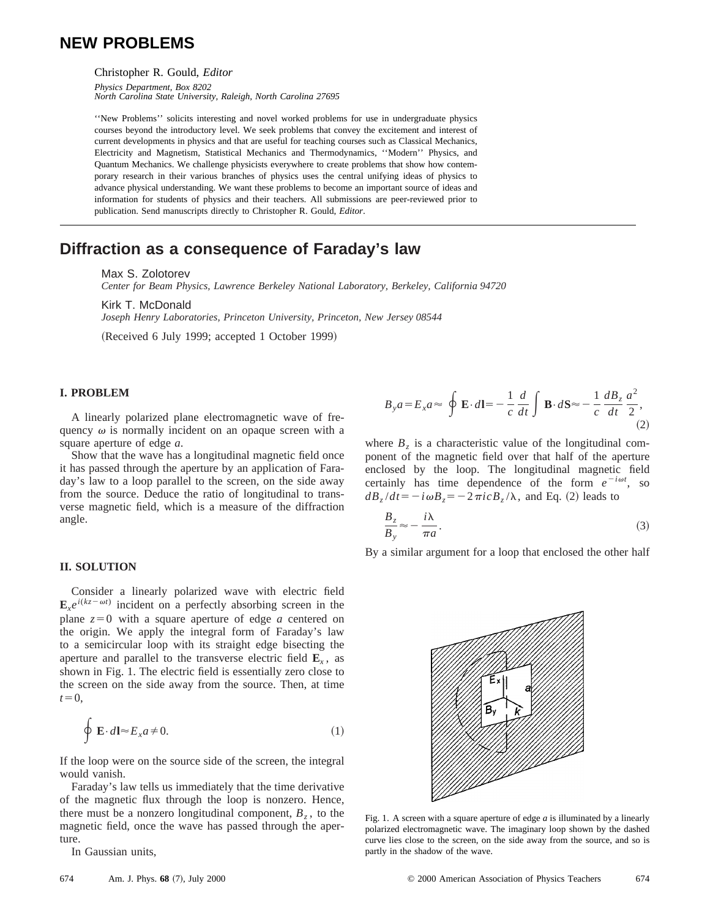# **NEW PROBLEMS**

Christopher R. Gould, *Editor*

*Physics Department, Box 8202 North Carolina State University, Raleigh, North Carolina 27695*

''New Problems'' solicits interesting and novel worked problems for use in undergraduate physics courses beyond the introductory level. We seek problems that convey the excitement and interest of current developments in physics and that are useful for teaching courses such as Classical Mechanics, Electricity and Magnetism, Statistical Mechanics and Thermodynamics, ''Modern'' Physics, and Quantum Mechanics. We challenge physicists everywhere to create problems that show how contemporary research in their various branches of physics uses the central unifying ideas of physics to advance physical understanding. We want these problems to become an important source of ideas and information for students of physics and their teachers. All submissions are peer-reviewed prior to publication. Send manuscripts directly to Christopher R. Gould, *Editor*.

## **Diffraction as a consequence of Faraday's law**

Max S. Zolotorev

*Center for Beam Physics, Lawrence Berkeley National Laboratory, Berkeley, California 94720*

Kirk T. McDonald *Joseph Henry Laboratories, Princeton University, Princeton, New Jersey 08544*

(Received 6 July 1999; accepted 1 October 1999)

### **I. PROBLEM**

A linearly polarized plane electromagnetic wave of frequency  $\omega$  is normally incident on an opaque screen with a square aperture of edge *a*.

Show that the wave has a longitudinal magnetic field once it has passed through the aperture by an application of Faraday's law to a loop parallel to the screen, on the side away from the source. Deduce the ratio of longitudinal to transverse magnetic field, which is a measure of the diffraction angle.

## **II. SOLUTION**

Consider a linearly polarized wave with electric field  $\mathbf{E}_r e^{i(kz - \omega t)}$  incident on a perfectly absorbing screen in the plane  $z=0$  with a square aperture of edge *a* centered on the origin. We apply the integral form of Faraday's law to a semicircular loop with its straight edge bisecting the aperture and parallel to the transverse electric field  $\mathbf{E}_x$ , as shown in Fig. 1. The electric field is essentially zero close to the screen on the side away from the source. Then, at time  $t=0$ ,

$$
\oint \mathbf{E} \cdot d\mathbf{l} \approx E_x a \neq 0. \tag{1}
$$

If the loop were on the source side of the screen, the integral would vanish.

Faraday's law tells us immediately that the time derivative of the magnetic flux through the loop is nonzero. Hence, there must be a nonzero longitudinal component,  $B<sub>z</sub>$ , to the magnetic field, once the wave has passed through the aperture.

In Gaussian units,

$$
B_{y}a = E_{x}a \approx \oint \mathbf{E} \cdot d\mathbf{l} = -\frac{1}{c} \frac{d}{dt} \int \mathbf{B} \cdot d\mathbf{S} \approx -\frac{1}{c} \frac{dB_{z}}{dt} \frac{a^{2}}{2},
$$
\n(2)

where  $B_7$  is a characteristic value of the longitudinal component of the magnetic field over that half of the aperture enclosed by the loop. The longitudinal magnetic field certainly has time dependence of the form  $e^{-i\omega t}$ , so  $dB_z/dt = -i\omega B_z = -2\pi i c B_z/\lambda$ , and Eq. (2) leads to

$$
\frac{B_z}{B_y} \approx -\frac{i\lambda}{\pi a}.
$$
\n(3)

By a similar argument for a loop that enclosed the other half



Fig. 1. A screen with a square aperture of edge *a* is illuminated by a linearly polarized electromagnetic wave. The imaginary loop shown by the dashed curve lies close to the screen, on the side away from the source, and so is partly in the shadow of the wave.